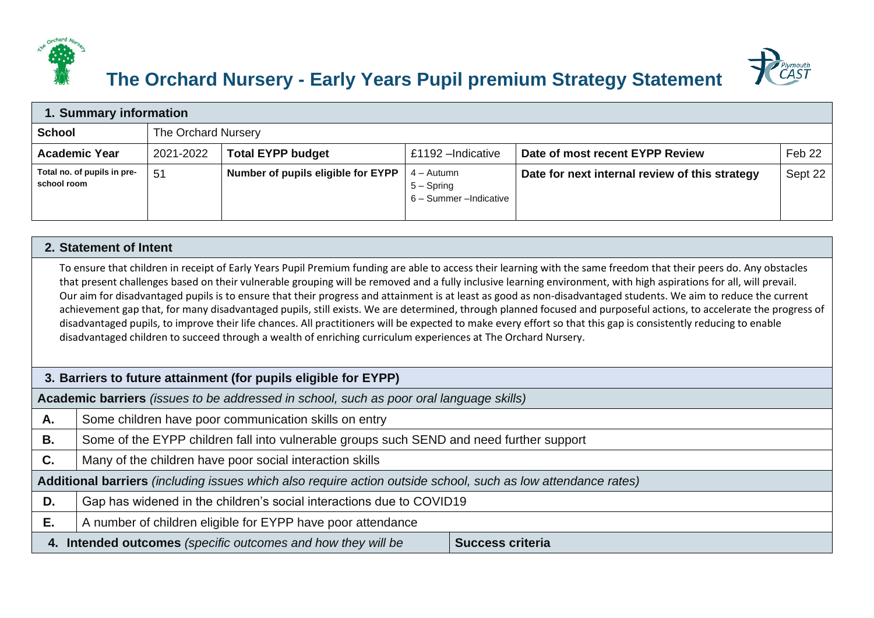



## **The Orchard Nursery - Early Years Pupil premium Strategy Statement**

| 1. Summary information                     |                     |                                    |                                                       |                                                |         |
|--------------------------------------------|---------------------|------------------------------------|-------------------------------------------------------|------------------------------------------------|---------|
| <b>School</b>                              | The Orchard Nursery |                                    |                                                       |                                                |         |
| <b>Academic Year</b>                       | 2021-2022           | <b>Total EYPP budget</b>           | £1192 - Indicative                                    | Date of most recent EYPP Review                | Feb 22  |
| Total no. of pupils in pre-<br>school room | 51                  | Number of pupils eligible for EYPP | 4 – Autumn<br>$5 -$ Spring<br>6 - Summer - Indicative | Date for next internal review of this strategy | Sept 22 |

## **2. Statement of Intent**

To ensure that children in receipt of Early Years Pupil Premium funding are able to access their learning with the same freedom that their peers do. Any obstacles that present challenges based on their vulnerable grouping will be removed and a fully inclusive learning environment, with high aspirations for all, will prevail. Our aim for disadvantaged pupils is to ensure that their progress and attainment is at least as good as non-disadvantaged students. We aim to reduce the current achievement gap that, for many disadvantaged pupils, still exists. We are determined, through planned focused and purposeful actions, to accelerate the progress of disadvantaged pupils, to improve their life chances. All practitioners will be expected to make every effort so that this gap is consistently reducing to enable disadvantaged children to succeed through a wealth of enriching curriculum experiences at The Orchard Nursery.

| 3. Barriers to future attainment (for pupils eligible for EYPP)                         |                                                                                                               |  |  |  |
|-----------------------------------------------------------------------------------------|---------------------------------------------------------------------------------------------------------------|--|--|--|
|                                                                                         | Academic barriers (issues to be addressed in school, such as poor oral language skills)                       |  |  |  |
| А.                                                                                      | Some children have poor communication skills on entry                                                         |  |  |  |
| В.                                                                                      | Some of the EYPP children fall into vulnerable groups such SEND and need further support                      |  |  |  |
| C.                                                                                      | Many of the children have poor social interaction skills                                                      |  |  |  |
|                                                                                         | Additional barriers (including issues which also require action outside school, such as low attendance rates) |  |  |  |
| D.                                                                                      | Gap has widened in the children's social interactions due to COVID19                                          |  |  |  |
| Е.                                                                                      | A number of children eligible for EYPP have poor attendance                                                   |  |  |  |
| 4. Intended outcomes (specific outcomes and how they will be<br><b>Success criteria</b> |                                                                                                               |  |  |  |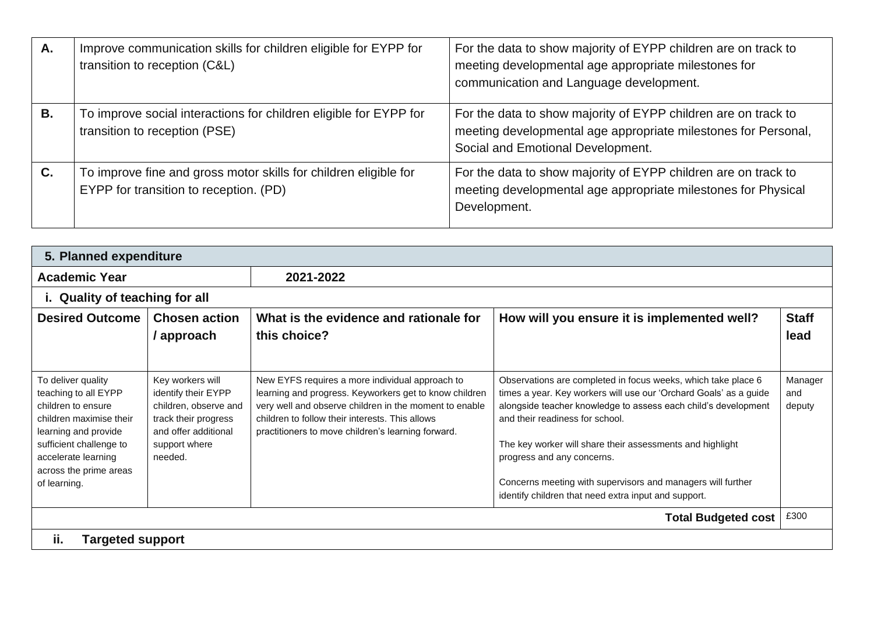| А.        | Improve communication skills for children eligible for EYPP for<br>transition to reception (C&L)           | For the data to show majority of EYPP children are on track to<br>meeting developmental age appropriate milestones for<br>communication and Language development.     |
|-----------|------------------------------------------------------------------------------------------------------------|-----------------------------------------------------------------------------------------------------------------------------------------------------------------------|
| <b>B.</b> | To improve social interactions for children eligible for EYPP for<br>transition to reception (PSE)         | For the data to show majority of EYPP children are on track to<br>meeting developmental age appropriate milestones for Personal,<br>Social and Emotional Development. |
| C.        | To improve fine and gross motor skills for children eligible for<br>EYPP for transition to reception. (PD) | For the data to show majority of EYPP children are on track to<br>meeting developmental age appropriate milestones for Physical<br>Development.                       |

| 5. Planned expenditure                                                                                                                                                                                          |                                                                                                                                              |                                                                                                                                                                                                                                                                              |                                                                                                                                                                                                                                                                                                                                                                                                                                                           |                          |  |
|-----------------------------------------------------------------------------------------------------------------------------------------------------------------------------------------------------------------|----------------------------------------------------------------------------------------------------------------------------------------------|------------------------------------------------------------------------------------------------------------------------------------------------------------------------------------------------------------------------------------------------------------------------------|-----------------------------------------------------------------------------------------------------------------------------------------------------------------------------------------------------------------------------------------------------------------------------------------------------------------------------------------------------------------------------------------------------------------------------------------------------------|--------------------------|--|
| <b>Academic Year</b>                                                                                                                                                                                            |                                                                                                                                              | 2021-2022                                                                                                                                                                                                                                                                    |                                                                                                                                                                                                                                                                                                                                                                                                                                                           |                          |  |
|                                                                                                                                                                                                                 | i. Quality of teaching for all                                                                                                               |                                                                                                                                                                                                                                                                              |                                                                                                                                                                                                                                                                                                                                                                                                                                                           |                          |  |
| <b>Desired Outcome</b>                                                                                                                                                                                          | <b>Chosen action</b><br>/ approach                                                                                                           | What is the evidence and rationale for<br>this choice?                                                                                                                                                                                                                       | How will you ensure it is implemented well?                                                                                                                                                                                                                                                                                                                                                                                                               | <b>Staff</b><br>lead     |  |
| To deliver quality<br>teaching to all EYPP<br>children to ensure<br>children maximise their<br>learning and provide<br>sufficient challenge to<br>accelerate learning<br>across the prime areas<br>of learning. | Key workers will<br>identify their EYPP<br>children, observe and<br>track their progress<br>and offer additional<br>support where<br>needed. | New EYFS requires a more individual approach to<br>learning and progress. Keyworkers get to know children<br>very well and observe children in the moment to enable<br>children to follow their interests. This allows<br>practitioners to move children's learning forward. | Observations are completed in focus weeks, which take place 6<br>times a year. Key workers will use our 'Orchard Goals' as a guide<br>alongside teacher knowledge to assess each child's development<br>and their readiness for school.<br>The key worker will share their assessments and highlight<br>progress and any concerns.<br>Concerns meeting with supervisors and managers will further<br>identify children that need extra input and support. | Manager<br>and<br>deputy |  |
|                                                                                                                                                                                                                 |                                                                                                                                              |                                                                                                                                                                                                                                                                              | <b>Total Budgeted cost</b>                                                                                                                                                                                                                                                                                                                                                                                                                                | £300                     |  |
| ii.<br><b>Targeted support</b>                                                                                                                                                                                  |                                                                                                                                              |                                                                                                                                                                                                                                                                              |                                                                                                                                                                                                                                                                                                                                                                                                                                                           |                          |  |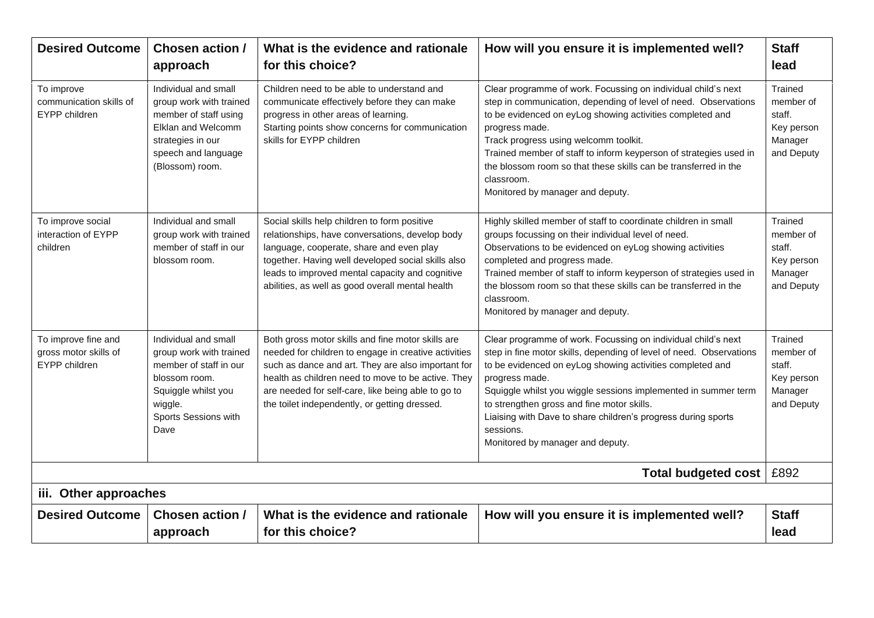| <b>Desired Outcome</b>                                        | <b>Chosen action /</b><br>approach                                                                                                                            | What is the evidence and rationale<br>for this choice?                                                                                                                                                                                                                                                                       | How will you ensure it is implemented well?                                                                                                                                                                                                                                                                                                                                                                                                           | <b>Staff</b><br>lead                                                  |  |
|---------------------------------------------------------------|---------------------------------------------------------------------------------------------------------------------------------------------------------------|------------------------------------------------------------------------------------------------------------------------------------------------------------------------------------------------------------------------------------------------------------------------------------------------------------------------------|-------------------------------------------------------------------------------------------------------------------------------------------------------------------------------------------------------------------------------------------------------------------------------------------------------------------------------------------------------------------------------------------------------------------------------------------------------|-----------------------------------------------------------------------|--|
| To improve<br>communication skills of<br>EYPP children        | Individual and small<br>group work with trained<br>member of staff using<br>Elklan and Welcomm<br>strategies in our<br>speech and language<br>(Blossom) room. | Children need to be able to understand and<br>communicate effectively before they can make<br>progress in other areas of learning.<br>Starting points show concerns for communication<br>skills for EYPP children                                                                                                            | Clear programme of work. Focussing on individual child's next<br>step in communication, depending of level of need. Observations<br>to be evidenced on eyLog showing activities completed and<br>progress made.<br>Track progress using welcomm toolkit.<br>Trained member of staff to inform keyperson of strategies used in<br>the blossom room so that these skills can be transferred in the<br>classroom.<br>Monitored by manager and deputy.    | Trained<br>member of<br>staff.<br>Key person<br>Manager<br>and Deputy |  |
| To improve social<br>interaction of EYPP<br>children          | Individual and small<br>group work with trained<br>member of staff in our<br>blossom room.                                                                    | Social skills help children to form positive<br>relationships, have conversations, develop body<br>language, cooperate, share and even play<br>together. Having well developed social skills also<br>leads to improved mental capacity and cognitive<br>abilities, as well as good overall mental health                     | Highly skilled member of staff to coordinate children in small<br>groups focussing on their individual level of need.<br>Observations to be evidenced on eyLog showing activities<br>completed and progress made.<br>Trained member of staff to inform keyperson of strategies used in<br>the blossom room so that these skills can be transferred in the<br>classroom.<br>Monitored by manager and deputy.                                           | Trained<br>member of<br>staff.<br>Key person<br>Manager<br>and Deputy |  |
| To improve fine and<br>gross motor skills of<br>EYPP children | Individual and small<br>group work with trained<br>member of staff in our<br>blossom room.<br>Squiggle whilst you<br>wiggle.<br>Sports Sessions with<br>Dave  | Both gross motor skills and fine motor skills are<br>needed for children to engage in creative activities<br>such as dance and art. They are also important for<br>health as children need to move to be active. They<br>are needed for self-care, like being able to go to<br>the toilet independently, or getting dressed. | Clear programme of work. Focussing on individual child's next<br>step in fine motor skills, depending of level of need. Observations<br>to be evidenced on eyLog showing activities completed and<br>progress made.<br>Squiggle whilst you wiggle sessions implemented in summer term<br>to strengthen gross and fine motor skills.<br>Liaising with Dave to share children's progress during sports<br>sessions.<br>Monitored by manager and deputy. | Trained<br>member of<br>staff.<br>Key person<br>Manager<br>and Deputy |  |
| <b>Total budgeted cost</b>                                    |                                                                                                                                                               |                                                                                                                                                                                                                                                                                                                              |                                                                                                                                                                                                                                                                                                                                                                                                                                                       | £892                                                                  |  |
|                                                               | iii. Other approaches                                                                                                                                         |                                                                                                                                                                                                                                                                                                                              |                                                                                                                                                                                                                                                                                                                                                                                                                                                       |                                                                       |  |
| <b>Desired Outcome</b>                                        | <b>Chosen action /</b><br>approach                                                                                                                            | What is the evidence and rationale<br>for this choice?                                                                                                                                                                                                                                                                       | How will you ensure it is implemented well?                                                                                                                                                                                                                                                                                                                                                                                                           | <b>Staff</b><br>lead                                                  |  |